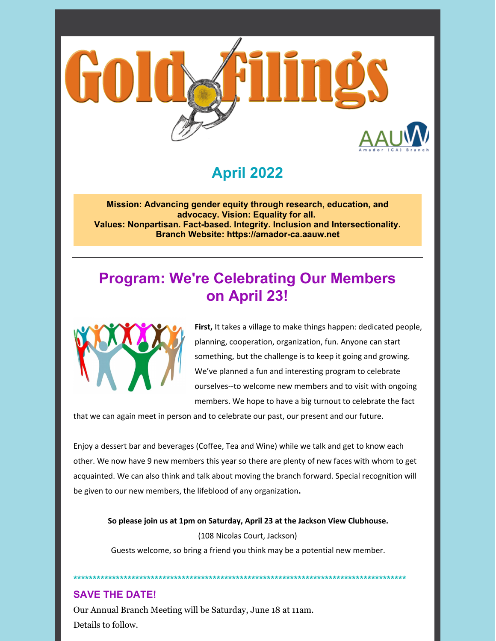

# **April 2022**

**Mission: Advancing gender equity through research, education, and advocacy. Vision: Equality for all. Values: Nonpartisan. Fact-based. Integrity. Inclusion and Intersectionality. Branch Website: https://amador-ca.aauw.net**

# **Program: We're Celebrating Our Members on April 23!**



**First,** It takes a village to make things happen: dedicated people, planning, cooperation, organization, fun. Anyone can start something, but the challenge is to keep it going and growing. We've planned a fun and interesting program to celebrate ourselves--to welcome new members and to visit with ongoing members. We hope to have a big turnout to celebrate the fact

that we can again meet in person and to celebrate our past, our present and our future.

Enjoy a dessert bar and beverages (Coffee, Tea and Wine) while we talk and get to know each other. We now have 9 new members this year so there are plenty of new faces with whom to get acquainted. We can also think and talk about moving the branch forward. Special recognition will be given to our new members, the lifeblood of any organization**.**

**So please join us at 1pm on Saturday, April 23 at the Jackson View Clubhouse.** (108 Nicolas Court, Jackson)

Guests welcome, so bring a friend you think may be a potential new member.

**\*\*\*\*\*\*\*\*\*\*\*\*\*\*\*\*\*\*\*\*\*\*\*\*\*\*\*\*\*\*\*\*\*\*\*\*\*\*\*\*\*\*\*\*\*\*\*\*\*\*\*\*\*\*\*\*\*\*\*\*\*\*\*\*\*\*\*\*\*\*\*\*\*\*\*\*\*\*\*\*\*\*\*\*\*\***

### **SAVE THE DATE!**

Our Annual Branch Meeting will be Saturday, June 18 at 11am. Details to follow.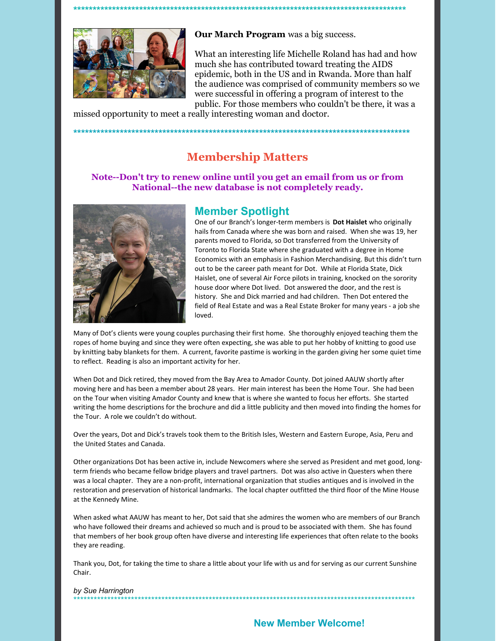

**Our March Program** was a big success.

What an interesting life Michelle Roland has had and how much she has contributed toward treating the AIDS epidemic, both in the US and in Rwanda. More than half the audience was comprised of community members so we were successful in offering a program of interest to the public. For those members who couldn't be there, it was a

missed opportunity to meet a really interesting woman and doctor.

**\*\*\*\*\*\*\*\*\*\*\*\*\*\*\*\*\*\*\*\*\*\*\*\*\*\*\*\*\*\*\*\*\*\*\*\*\*\*\*\*\*\*\*\*\*\*\*\*\*\*\*\*\*\*\*\*\*\*\*\*\*\*\*\*\*\*\*\*\*\*\*\*\*\*\*\*\*\*\*\*\*\*\*\*\*\***

# **Membership Matters**

**\*\*\*\*\*\*\*\*\*\*\*\*\*\*\*\*\*\*\*\*\*\*\*\*\*\*\*\*\*\*\*\*\*\*\*\*\*\*\*\*\*\*\*\*\*\*\*\*\*\*\*\*\*\*\*\*\*\*\*\*\*\*\*\*\*\*\*\*\*\*\*\*\*\*\*\*\*\*\*\*\*\*\*\*\*\*\***

**Note--Don't try to renew online until you get an email from us or from National--the new database is not completely ready.**



### **Member Spotlight**

One of our Branch's longer-term members is **Dot Haislet** who originally hails from Canada where she was born and raised. When she was 19, her parents moved to Florida, so Dot transferred from the University of Toronto to Florida State where she graduated with a degree in Home Economics with an emphasis in Fashion Merchandising. But this didn't turn out to be the career path meant for Dot. While at Florida State, Dick Haislet, one of several Air Force pilots in training, knocked on the sorority house door where Dot lived. Dot answered the door, and the rest is history. She and Dick married and had children. Then Dot entered the field of Real Estate and was a Real Estate Broker for many years - a job she loved.

Many of Dot's clients were young couples purchasing their first home. She thoroughly enjoyed teaching them the ropes of home buying and since they were often expecting, she was able to put her hobby of knitting to good use by knitting baby blankets for them. A current, favorite pastime is working in the garden giving her some quiet time to reflect. Reading is also an important activity for her.

When Dot and Dick retired, they moved from the Bay Area to Amador County. Dot joined AAUW shortly after moving here and has been a member about 28 years. Her main interest has been the Home Tour. She had been on the Tour when visiting Amador County and knew that is where she wanted to focus her efforts. She started writing the home descriptions for the brochure and did a little publicity and then moved into finding the homes for the Tour. A role we couldn't do without.

Over the years, Dot and Dick's travels took them to the British Isles, Western and Eastern Europe, Asia, Peru and the United States and Canada.

Other organizations Dot has been active in, include Newcomers where she served as President and met good, longterm friends who became fellow bridge players and travel partners. Dot was also active in Questers when there was a local chapter. They are a non-profit, international organization that studies antiques and is involved in the restoration and preservation of historical landmarks. The local chapter outfitted the third floor of the Mine House at the Kennedy Mine.

When asked what AAUW has meant to her, Dot said that she admires the women who are members of our Branch who have followed their dreams and achieved so much and is proud to be associated with them. She has found that members of her book group often have diverse and interesting life experiences that often relate to the books they are reading.

Thank you, Dot, for taking the time to share a little about your life with us and for serving as our current Sunshine Chair.

#### *by Sue Harrington* \*\*\*\*\*\*\*\*\*\*\*\*\*\*\*\*\*\*\*\*\*\*\*\*\*\*\*\*\*\*\*\*\*\*\*\*\*\*\*\*\*\*\*\*\*\*\*\*\*\*\*\*\*\*\*\*\*\*\*\*\*\*\*\*\*\*\*\*\*\*\*\*\*\*\*\*\*\*\*\*\*\*\*\*\*\*\*\*\*\*\*\*\*\*\*\*\*\*\*\*\*

## **New Member Welcome!**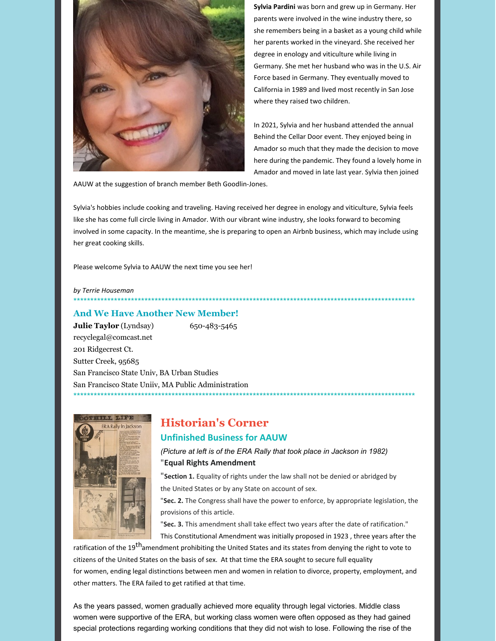

**Sylvia Pardini** was born and grew up in Germany. Her parents were involved in the wine industry there, so she remembers being in a basket as a young child while her parents worked in the vineyard. She received her degree in enology and viticulture while living in Germany. She met her husband who was in the U.S. Air Force based in Germany. They eventually moved to California in 1989 and lived most recently in San Jose where they raised two children.

In 2021, Sylvia and her husband attended the annual Behind the Cellar Door event. They enjoyed being in Amador so much that they made the decision to move here during the pandemic. They found a lovely home in Amador and moved in late last year. Sylvia then joined

AAUW at the suggestion of branch member Beth Goodlin-Jones.

Sylvia's hobbies include cooking and traveling. Having received her degree in enology and viticulture, Sylvia feels like she has come full circle living in Amador. With our vibrant wine industry, she looks forward to becoming involved in some capacity. In the meantime, she is preparing to open an Airbnb business, which may include using her great cooking skills.

\*\*\*\*\*\*\*\*\*\*\*\*\*\*\*\*\*\*\*\*\*\*\*\*\*\*\*\*\*\*\*\*\*\*\*\*\*\*\*\*\*\*\*\*\*\*\*\*\*\*\*\*\*\*\*\*\*\*\*\*\*\*\*\*\*\*\*\*\*\*\*\*\*\*\*\*\*\*\*\*\*\*\*\*\*\*\*\*\*\*\*\*\*\*\*\*\*\*\*\*\*

Please welcome Sylvia to AAUW the next time you see her!

#### *by Terrie Houseman*

#### **And We Have Another New Member!**

**Julie Taylor** (Lyndsay) 650-483-5465 recyclegal@comcast.net 201 Ridgecrest Ct. Sutter Creek, 95685 San Francisco State Univ, BA Urban Studies San Francisco State Uniiv, MA Public Administration \*\*\*\*\*\*\*\*\*\*\*\*\*\*\*\*\*\*\*\*\*\*\*\*\*\*\*\*\*\*\*\*\*\*\*\*\*\*\*\*\*\*\*\*\*\*\*\*\*\*\*\*\*\*\*\*\*\*\*\*\*\*\*\*\*\*\*\*\*\*\*\*\*\*\*\*\*\*\*\*\*\*\*\*\*\*\*\*\*\*\*\*\*\*\*\*\*\*\*\*\*



# **Historian's Corner**

### **Unfinished Business for AAUW**

*(Picture at left is of the ERA Rally that took place in Jackson in 1982)* "**Equal Rights Amendment**

"**Section 1.** Equality of rights under the law shall not be denied or abridged by the United States or by any State on account of sex.

"**Sec. 2.** The Congress shall have the power to enforce, by appropriate legislation, the provisions of this article.

"**Sec. 3.** This amendment shall take effect two years after the date of ratification." This Constitutional Amendment was initially proposed in 1923 , three years after the

ratification of the 19<sup>th</sup>amendment prohibiting the United States and its states from denying the right to vote to citizens of the United States on the basis of sex. At that time the ERA sought to secure full equality for women, ending legal distinctions between men and women in relation to divorce, property, employment, and other matters. The ERA failed to get ratified at that time.

As the years passed, women gradually achieved more equality through legal victories. Middle class women were supportive of the ERA, but working class women were often opposed as they had gained special protections regarding working conditions that they did not wish to lose. Following the rise of the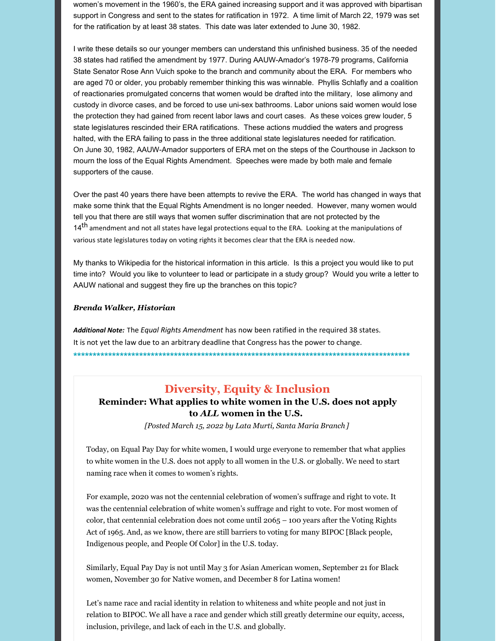women's movement in the 1960's, the ERA gained increasing support and it was approved with bipartisan support in Congress and sent to the states for ratification in 1972. A time limit of March 22, 1979 was set for the ratification by at least 38 states. This date was later extended to June 30, 1982.

I write these details so our younger members can understand this unfinished business. 35 of the needed 38 states had ratified the amendment by 1977. During AAUW-Amador's 1978-79 programs, California State Senator Rose Ann Vuich spoke to the branch and community about the ERA. For members who are aged 70 or older, you probably remember thinking this was winnable. Phyllis Schlafly and a coalition of reactionaries promulgated concerns that women would be drafted into the military, lose alimony and custody in divorce cases, and be forced to use uni-sex bathrooms. Labor unions said women would lose the protection they had gained from recent labor laws and court cases. As these voices grew louder, 5 state legislatures rescinded their ERA ratifications. These actions muddied the waters and progress halted, with the ERA failing to pass in the three additional state legislatures needed for ratification. On June 30, 1982, AAUW-Amador supporters of ERA met on the steps of the Courthouse in Jackson to mourn the loss of the Equal Rights Amendment. Speeches were made by both male and female supporters of the cause.

Over the past 40 years there have been attempts to revive the ERA. The world has changed in ways that make some think that the Equal Rights Amendment is no longer needed. However, many women would tell you that there are still ways that women suffer discrimination that are not protected by the 14<sup>th</sup> amendment and not all states have legal protections equal to the ERA. Looking at the manipulations of various state legislatures today on voting rights it becomes clear that the ERA is needed now.

My thanks to Wikipedia for the historical information in this article. Is this a project you would like to put time into? Would you like to volunteer to lead or participate in a study group? Would you write a letter to AAUW national and suggest they fire up the branches on this topic?

#### *Brenda Walker, Historian*

*Additional Note:* The *Equal Rights Amendment* has now been ratified in the required 38 states. It is not yet the law due to an arbitrary deadline that Congress has the power to change. **\*\*\*\*\*\*\*\*\*\*\*\*\*\*\*\*\*\*\*\*\*\*\*\*\*\*\*\*\*\*\*\*\*\*\*\*\*\*\*\*\*\*\*\*\*\*\*\*\*\*\*\*\*\*\*\*\*\*\*\*\*\*\*\*\*\*\*\*\*\*\*\*\*\*\*\*\*\*\*\*\*\*\*\*\*\*\***

## **Diversity, Equity & Inclusion**

### **Reminder: What applies to white women in the U.S. does not apply to** *ALL* **women in the U.S.**

*[Posted March 15, 2022 by Lata Murti, Santa Maria Branch ]*

Today, on Equal Pay Day for white women, I would urge everyone to remember that what applies to white women in the U.S. does not apply to all women in the U.S. or globally. We need to start naming race when it comes to women's rights.

For example, 2020 was not the centennial celebration of women's suffrage and right to vote. It was the centennial celebration of white women's suffrage and right to vote. For most women of color, that centennial celebration does not come until 2065 – 100 years after the Voting Rights Act of 1965. And, as we know, there are still barriers to voting for many BIPOC [Black people, Indigenous people, and People Of Color] in the U.S. today.

Similarly, Equal Pay Day is not until May 3 for Asian American women, September 21 for Black women, November 30 for Native women, and December 8 for Latina women!

Let's name race and racial identity in relation to whiteness and white people and not just in relation to BIPOC. We all have a race and gender which still greatly determine our equity, access, inclusion, privilege, and lack of each in the U.S. and globally.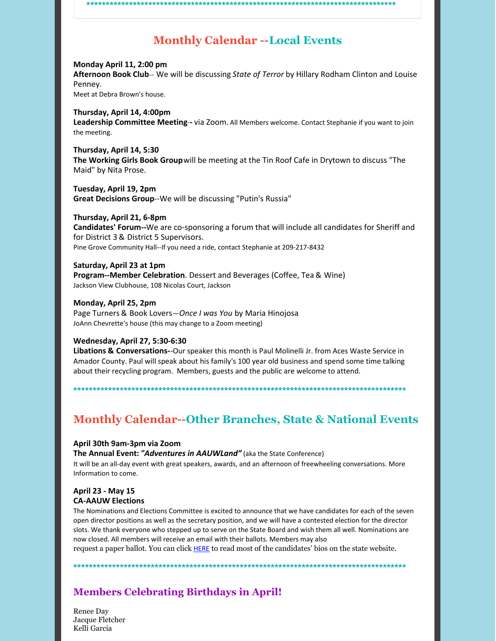### **\*\*\*\*\*\*\*\*\*\*\*\*\*\*\*\*\*\*\*\*\*\*\*\*\*\*\*\*\*\*\*\*\*\*\*\*\*\*\*\*\*\*\*\*\*\*\*\*\*\*\*\*\*\*\*\*\*\*\*\*\*\*\*\*\*\*\*\*\*\*\*\*\*\*\*\*\*\*\*\***

# **Monthly Calendar --Local Events**

**Monday April 11, 2:00 pm Afternoon Book Club**-- We will be discussing *State of Terror* by Hillary Rodham Clinton and Louise Penney. Meet at Debra Brown's house.

**Thursday, April 14, 4:00pm Leadership Committee Meeting**-**-** via Zoom. All Members welcome. Contact Stephanie if you want to join the meeting.

**Thursday, April 14, 5:30 The Working Girls Book Group**will be meeting at the Tin Roof Cafe in Drytown to discuss "The Maid" by Nita Prose.

**Tuesday, April 19, 2pm Great Decisions Group**--We will be discussing "Putin's Russia"

**Thursday, April 21, 6-8pm Candidates' Forum--**We are co-sponsoring a forum that will include all candidates for Sheriff and for District 3 & District 5 Supervisors. Pine Grove Community Hall--If you need a ride, contact Stephanie at 209-217-8432

**Saturday, April 23 at 1pm Program--Member Celebration**. Dessert and Beverages (Coffee, Tea & Wine) Jackson View Clubhouse, 108 Nicolas Court, Jackson

**Monday, April 25, 2pm** Page Turners & Book Lovers—*Once I was You* by Maria Hinojosa JoAnn Chevrette's house (this may change to a Zoom meeting)

#### **Wednesday, April 27, 5:30-6:30**

**Libations & Conversations-**-Our speaker this month is Paul Molinelli Jr. from Aces Waste Service in Amador County. Paul will speak about his family's 100 year old business and spend some time talking about their recycling program. Members, guests and the public are welcome to attend.

**\*\*\*\*\*\*\*\*\*\*\*\*\*\*\*\*\*\*\*\*\*\*\*\*\*\*\*\*\*\*\*\*\*\*\*\*\*\*\*\*\*\*\*\*\*\*\*\*\*\*\*\*\*\*\*\*\*\*\*\*\*\*\*\*\*\*\*\*\*\*\*\*\*\*\*\*\*\*\*\*\*\*\*\*\*\***

# **Monthly Calendar--Other Branches, State & National Events**

#### **April 30th 9am-3pm via Zoom**

**The Annual Event:** *"Adventures in AAUWLand"* (aka the State Conference) It will be an all-day event with great speakers, awards, and an afternoon of freewheeling conversations. More Information to come.

#### **April 23 - May 15 CA-AAUW Elections**

The Nominations and Elections Committee is excited to announce that we have candidates for each of the seven open director positions as well as the secretary position, and we will have a contested election for the director slots. We thank everyone who stepped up to serve on the State Board and wish them all well. Nominations are now closed. All members will receive an email with their ballots. Members may also

request a paper ballot. You can click **HERE** to read most of the candidates' bios on the state website.

**\*\*\*\*\*\*\*\*\*\*\*\*\*\*\*\*\*\*\*\*\*\*\*\*\*\*\*\*\*\*\*\*\*\*\*\*\*\*\*\*\*\*\*\*\*\*\*\*\*\*\*\*\*\*\*\*\*\*\*\*\*\*\*\*\*\*\*\*\*\*\*\*\*\*\*\*\*\*\*\*\*\*\*\*\*\***

## **Members Celebrating Birthdays in April!**

Renee Day Jacque Fletcher Kelli Garcia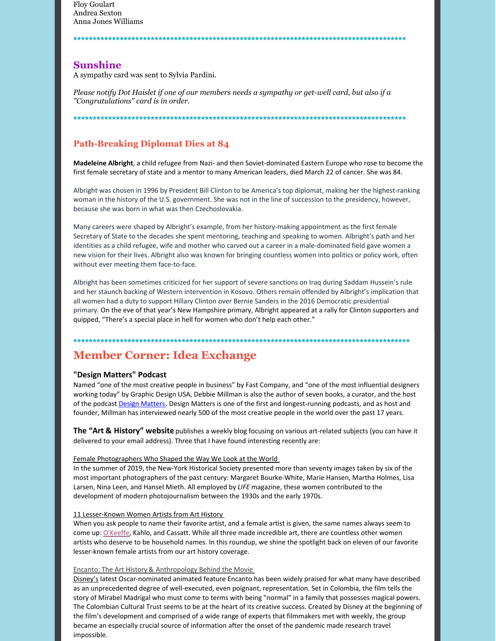Floy Goulart Andrea Sexton Anna Jones Williams

### **Sunshine**

A sympathy card was sent to Sylvia Pardini.

Please notify Dot Haislet if one of our members needs a sympathy or get-well card, but also if a *"Congratulations" card is in order.*

**\*\*\*\*\*\*\*\*\*\*\*\*\*\*\*\*\*\*\*\*\*\*\*\*\*\*\*\*\*\*\*\*\*\*\*\*\*\*\*\*\*\*\*\*\*\*\*\*\*\*\*\*\*\*\*\*\*\*\*\*\*\*\*\*\*\*\*\*\*\*\*\*\*\*\*\*\*\*\*\*\*\*\*\*\*\***

**\*\*\*\*\*\*\*\*\*\*\*\*\*\*\*\*\*\*\*\*\*\*\*\*\*\*\*\*\*\*\*\*\*\*\*\*\*\*\*\*\*\*\*\*\*\*\*\*\*\*\*\*\*\*\*\*\*\*\*\*\*\*\*\*\*\*\*\*\*\*\*\*\*\*\*\*\*\*\*\*\*\*\*\*\*\***

### **Path-Breaking Diplomat Dies at 84**

**Madeleine Albright**, a child refugee from Nazi- and then Soviet-dominated Eastern Europe who rose to become the first female secretary of state and a mentor to many American leaders, died March 22 of cancer. She was 84.

Albright was chosen in 1996 by President Bill Clinton to be America's top diplomat, making her the highest-ranking woman in the history of the U.S. government. She was not in the line of succession to the presidency, however, because she was born in what was then Czechoslovakia.

Many careers were shaped by Albright's example, from her history-making appointment as the first female Secretary of State to the decades she spent mentoring, teaching and speaking to women. Albright's path and her identities as a child refugee, wife and mother who carved out a career in a male-dominated field gave women a new vision for their lives. Albright also was known for bringing countless women into politics or policy work, often without ever meeting them face-to-face.

Albright has been sometimes criticized for her support of severe sanctions on Iraq during Saddam Hussein's rule and her staunch backing of Western intervention in Kosovo. Others remain offended by Albright's implication that all women had a duty to support Hillary Clinton over Bernie Sanders in the 2016 Democratic presidential primary. On the eve of that year's New Hampshire primary, Albright appeared at a rally for Clinton supporters and quipped, "There's a special place in hell for women who don't help each other."

#### **\*\*\*\*\*\*\*\*\*\*\*\*\*\*\*\*\*\*\*\*\*\*\*\*\*\*\*\*\*\*\*\*\*\*\*\*\*\*\*\*\*\*\*\*\*\*\*\*\*\*\*\*\*\*\*\*\*\*\*\*\*\*\*\*\*\*\*\*\*\*\*\*\*\*\*\*\*\*\*\*\*\*\*\*\*\*\***

## **Member Corner: Idea Exchange**

#### **"Design Matters" Podcast**

Named "one of the most creative people in business" by Fast Company, and "one of the most influential designers working today" by Graphic Design USA, Debbie Millman is also the author of seven books, a curator, and the host of the podcast Design Matters. Design Matters is one of the first and longest-running podcasts, and as host and founder, Millman has interviewed nearly 500 of the most creative people in the world over the past 17 years.

**The "Art & History" website** publishes a weekly blog focusing on various art-related subjects (you can have it delivered to your email address). Three that I have found interesting recently are:

#### Female Photographers Who Shaped the Way We Look at the World

In the summer of 2019, the New-York Historical Society presented more than seventy images taken by six of the most important photographers of the past century: Margaret Bourke-White, Marie Hansen, Martha Holmes, Lisa Larsen, Nina Leen, and Hansel Mieth. All employed by *LIFE* magazine, these women contributed to the development of modern photojournalism between the 1930s and the early 1970s.

#### 11 Lesser-Known Women Artists from Art History

When you ask people to name their favorite artist, and a female artist is given, the same names always seem to come up: O'Keeffe, Kahlo, and Cassatt. While all three made incredible art, there are countless other women artists who deserve to be household names. In this roundup, we shine the spotlight back on eleven of our favorite lesser-known female artists from our art history coverage.

#### Encanto: The Art History & Anthropology Behind the Movie

Disney's latest Oscar-nominated animated feature Encanto has been widely praised for what many have described as an unprecedented degree of well-executed, even poignant, representation. Set in Colombia, the film tells the story of Mirabel Madrigal who must come to terms with being "normal" in a family that possesses magical powers. The Colombian Cultural Trust seems to be at the heart of its creative success. Created by Disney at the beginning of the film's development and comprised of a wide range of experts that filmmakers met with weekly, the group became an especially crucial source of information after the onset of the pandemic made research travel impossible.